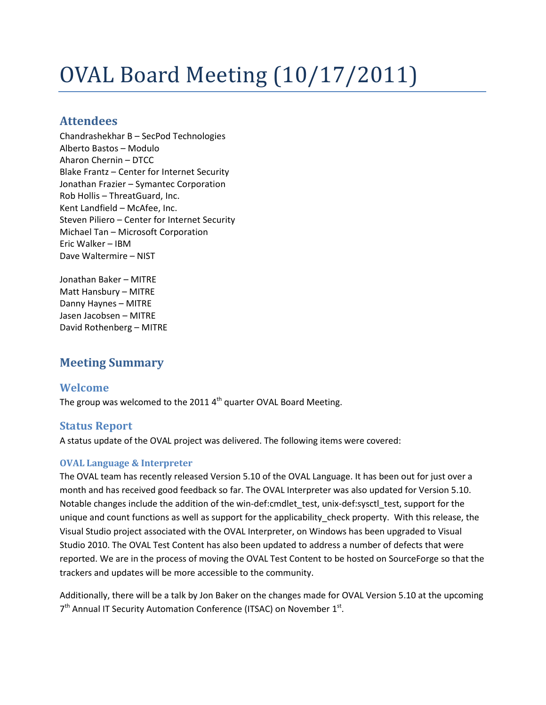# OVAL Board Meeting (10/17/2011)

# **Attendees**

Chandrashekhar B – SecPod Technologies Alberto Bastos – Modulo Aharon Chernin – DTCC Blake Frantz – Center for Internet Security Jonathan Frazier – Symantec Corporation Rob Hollis – ThreatGuard, Inc. Kent Landfield – McAfee, Inc. Steven Piliero – Center for Internet Security Michael Tan – Microsoft Corporation Eric Walker – IBM Dave Waltermire – NIST

Jonathan Baker – MITRE Matt Hansbury – MITRE Danny Haynes – MITRE Jasen Jacobsen – MITRE David Rothenberg – MITRE

# **Meeting Summary**

# **Welcome**

The group was welcomed to the 2011  $4^{\text{th}}$  quarter OVAL Board Meeting.

# **Status Report**

A status update of the OVAL project was delivered. The following items were covered:

# **OVAL Language & Interpreter**

The OVAL team has recently released Version 5.10 of the OVAL Language. It has been out for just over a month and has received good feedback so far. The OVAL Interpreter was also updated for Version 5.10. Notable changes include the addition of the win-def:cmdlet test, unix-def:sysctl test, support for the unique and count functions as well as support for the applicability\_check property. With this release, the Visual Studio project associated with the OVAL Interpreter, on Windows has been upgraded to Visual Studio 2010. The OVAL Test Content has also been updated to address a number of defects that were reported. We are in the process of moving the OVAL Test Content to be hosted on SourceForge so that the trackers and updates will be more accessible to the community.

Additionally, there will be a talk by Jon Baker on the changes made for OVAL Version 5.10 at the upcoming 7<sup>th</sup> Annual IT Security Automation Conference (ITSAC) on November 1<sup>st</sup>.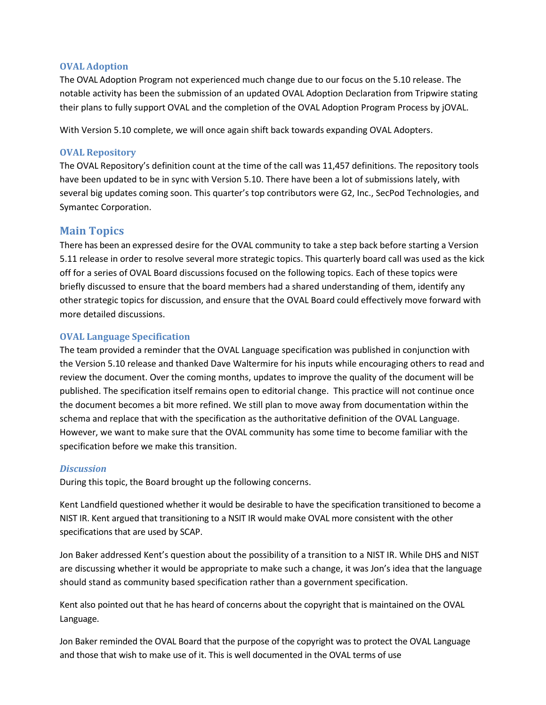#### **OVAL Adoption**

The OVAL Adoption Program not experienced much change due to our focus on the 5.10 release. The notable activity has been the submission of an updated OVAL Adoption Declaration from Tripwire stating their plans to fully support OVAL and the completion of the OVAL Adoption Program Process by jOVAL.

With Version 5.10 complete, we will once again shift back towards expanding OVAL Adopters.

#### **OVAL Repository**

The OVAL Repository's definition count at the time of the call was 11,457 definitions. The repository tools have been updated to be in sync with Version 5.10. There have been a lot of submissions lately, with several big updates coming soon. This quarter's top contributors were G2, Inc., SecPod Technologies, and Symantec Corporation.

#### **Main Topics**

There has been an expressed desire for the OVAL community to take a step back before starting a Version 5.11 release in order to resolve several more strategic topics. This quarterly board call was used as the kick off for a series of OVAL Board discussions focused on the following topics. Each of these topics were briefly discussed to ensure that the board members had a shared understanding of them, identify any other strategic topics for discussion, and ensure that the OVAL Board could effectively move forward with more detailed discussions.

#### **OVAL Language Specification**

The team provided a reminder that the OVAL Language specification was published in conjunction with the Version 5.10 release and thanked Dave Waltermire for his inputs while encouraging others to read and review the document. Over the coming months, updates to improve the quality of the document will be published. The specification itself remains open to editorial change. This practice will not continue once the document becomes a bit more refined. We still plan to move away from documentation within the schema and replace that with the specification as the authoritative definition of the OVAL Language. However, we want to make sure that the OVAL community has some time to become familiar with the specification before we make this transition.

#### *Discussion*

During this topic, the Board brought up the following concerns.

Kent Landfield questioned whether it would be desirable to have the specification transitioned to become a NIST IR. Kent argued that transitioning to a NSIT IR would make OVAL more consistent with the other specifications that are used by SCAP.

Jon Baker addressed Kent's question about the possibility of a transition to a NIST IR. While DHS and NIST are discussing whether it would be appropriate to make such a change, it was Jon's idea that the language should stand as community based specification rather than a government specification.

Kent also pointed out that he has heard of concerns about the copyright that is maintained on the OVAL Language.

Jon Baker reminded the OVAL Board that the purpose of the copyright was to protect the OVAL Language and those that wish to make use of it. This is well documented in the OVAL terms of use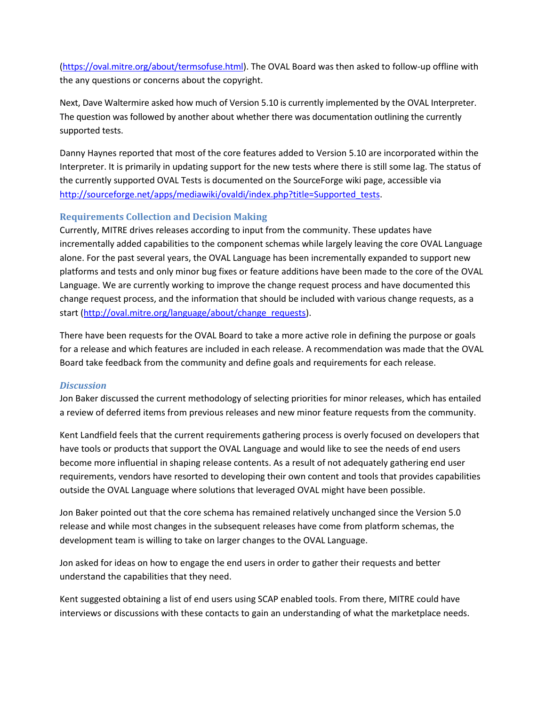[\(https://oval.mitre.org/about/termsofuse.html\)](https://oval.mitre.org/about/termsofuse.html). The OVAL Board was then asked to follow-up offline with the any questions or concerns about the copyright.

Next, Dave Waltermire asked how much of Version 5.10 is currently implemented by the OVAL Interpreter. The question was followed by another about whether there was documentation outlining the currently supported tests.

Danny Haynes reported that most of the core features added to Version 5.10 are incorporated within the Interpreter. It is primarily in updating support for the new tests where there is still some lag. The status of the currently supported OVAL Tests is documented on the SourceForge wiki page, accessible via [http://sourceforge.net/apps/mediawiki/ovaldi/index.php?title=Supported\\_tests.](http://sourceforge.net/apps/mediawiki/ovaldi/index.php?title=Supported_tests)

# **Requirements Collection and Decision Making**

Currently, MITRE drives releases according to input from the community. These updates have incrementally added capabilities to the component schemas while largely leaving the core OVAL Language alone. For the past several years, the OVAL Language has been incrementally expanded to support new platforms and tests and only minor bug fixes or feature additions have been made to the core of the OVAL Language. We are currently working to improve the change request process and have documented this change request process, and the information that should be included with various change requests, as a start [\(http://oval.mitre.org/language/about/change\\_requests\)](http://oval.mitre.org/language/about/change_requests).

There have been requests for the OVAL Board to take a more active role in defining the purpose or goals for a release and which features are included in each release. A recommendation was made that the OVAL Board take feedback from the community and define goals and requirements for each release.

#### *Discussion*

Jon Baker discussed the current methodology of selecting priorities for minor releases, which has entailed a review of deferred items from previous releases and new minor feature requests from the community.

Kent Landfield feels that the current requirements gathering process is overly focused on developers that have tools or products that support the OVAL Language and would like to see the needs of end users become more influential in shaping release contents. As a result of not adequately gathering end user requirements, vendors have resorted to developing their own content and tools that provides capabilities outside the OVAL Language where solutions that leveraged OVAL might have been possible.

Jon Baker pointed out that the core schema has remained relatively unchanged since the Version 5.0 release and while most changes in the subsequent releases have come from platform schemas, the development team is willing to take on larger changes to the OVAL Language.

Jon asked for ideas on how to engage the end users in order to gather their requests and better understand the capabilities that they need.

Kent suggested obtaining a list of end users using SCAP enabled tools. From there, MITRE could have interviews or discussions with these contacts to gain an understanding of what the marketplace needs.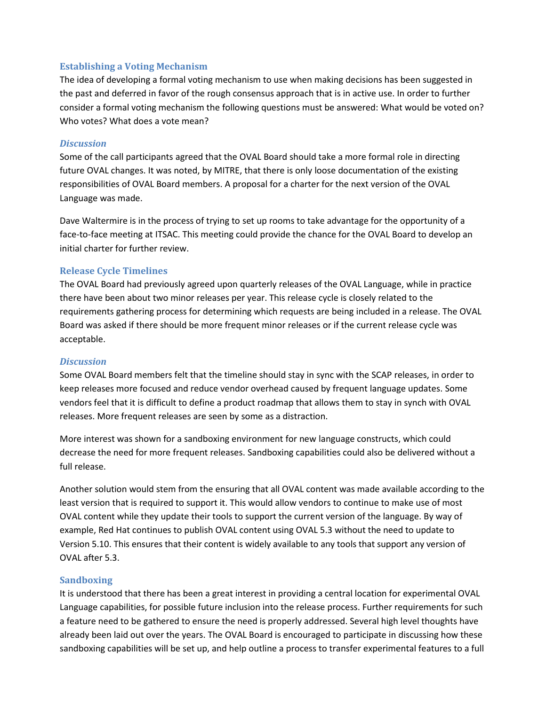#### **Establishing a Voting Mechanism**

The idea of developing a formal voting mechanism to use when making decisions has been suggested in the past and deferred in favor of the rough consensus approach that is in active use. In order to further consider a formal voting mechanism the following questions must be answered: What would be voted on? Who votes? What does a vote mean?

#### *Discussion*

Some of the call participants agreed that the OVAL Board should take a more formal role in directing future OVAL changes. It was noted, by MITRE, that there is only loose documentation of the existing responsibilities of OVAL Board members. A proposal for a charter for the next version of the OVAL Language was made.

Dave Waltermire is in the process of trying to set up rooms to take advantage for the opportunity of a face-to-face meeting at ITSAC. This meeting could provide the chance for the OVAL Board to develop an initial charter for further review.

# **Release Cycle Timelines**

The OVAL Board had previously agreed upon quarterly releases of the OVAL Language, while in practice there have been about two minor releases per year. This release cycle is closely related to the requirements gathering process for determining which requests are being included in a release. The OVAL Board was asked if there should be more frequent minor releases or if the current release cycle was acceptable.

#### *Discussion*

Some OVAL Board members felt that the timeline should stay in sync with the SCAP releases, in order to keep releases more focused and reduce vendor overhead caused by frequent language updates. Some vendors feel that it is difficult to define a product roadmap that allows them to stay in synch with OVAL releases. More frequent releases are seen by some as a distraction.

More interest was shown for a sandboxing environment for new language constructs, which could decrease the need for more frequent releases. Sandboxing capabilities could also be delivered without a full release.

Another solution would stem from the ensuring that all OVAL content was made available according to the least version that is required to support it. This would allow vendors to continue to make use of most OVAL content while they update their tools to support the current version of the language. By way of example, Red Hat continues to publish OVAL content using OVAL 5.3 without the need to update to Version 5.10. This ensures that their content is widely available to any tools that support any version of OVAL after 5.3.

# **Sandboxing**

It is understood that there has been a great interest in providing a central location for experimental OVAL Language capabilities, for possible future inclusion into the release process. Further requirements for such a feature need to be gathered to ensure the need is properly addressed. Several high level thoughts have already been laid out over the years. The OVAL Board is encouraged to participate in discussing how these sandboxing capabilities will be set up, and help outline a process to transfer experimental features to a full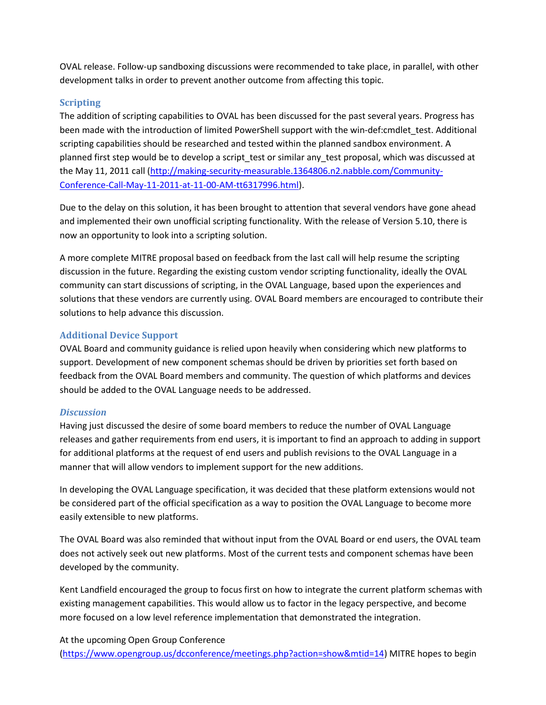OVAL release. Follow-up sandboxing discussions were recommended to take place, in parallel, with other development talks in order to prevent another outcome from affecting this topic.

## **Scripting**

The addition of scripting capabilities to OVAL has been discussed for the past several years. Progress has been made with the introduction of limited PowerShell support with the win-def:cmdlet test. Additional scripting capabilities should be researched and tested within the planned sandbox environment. A planned first step would be to develop a script test or similar any test proposal, which was discussed at the May 11, 2011 call [\(http://making-security-measurable.1364806.n2.nabble.com/Community-](http://making-security-measurable.1364806.n2.nabble.com/Community-Conference-Call-May-11-2011-at-11-00-AM-tt6317996.html)[Conference-Call-May-11-2011-at-11-00-AM-tt6317996.html\)](http://making-security-measurable.1364806.n2.nabble.com/Community-Conference-Call-May-11-2011-at-11-00-AM-tt6317996.html).

Due to the delay on this solution, it has been brought to attention that several vendors have gone ahead and implemented their own unofficial scripting functionality. With the release of Version 5.10, there is now an opportunity to look into a scripting solution.

A more complete MITRE proposal based on feedback from the last call will help resume the scripting discussion in the future. Regarding the existing custom vendor scripting functionality, ideally the OVAL community can start discussions of scripting, in the OVAL Language, based upon the experiences and solutions that these vendors are currently using. OVAL Board members are encouraged to contribute their solutions to help advance this discussion.

# **Additional Device Support**

OVAL Board and community guidance is relied upon heavily when considering which new platforms to support. Development of new component schemas should be driven by priorities set forth based on feedback from the OVAL Board members and community. The question of which platforms and devices should be added to the OVAL Language needs to be addressed.

#### *Discussion*

Having just discussed the desire of some board members to reduce the number of OVAL Language releases and gather requirements from end users, it is important to find an approach to adding in support for additional platforms at the request of end users and publish revisions to the OVAL Language in a manner that will allow vendors to implement support for the new additions.

In developing the OVAL Language specification, it was decided that these platform extensions would not be considered part of the official specification as a way to position the OVAL Language to become more easily extensible to new platforms.

The OVAL Board was also reminded that without input from the OVAL Board or end users, the OVAL team does not actively seek out new platforms. Most of the current tests and component schemas have been developed by the community.

Kent Landfield encouraged the group to focus first on how to integrate the current platform schemas with existing management capabilities. This would allow us to factor in the legacy perspective, and become more focused on a low level reference implementation that demonstrated the integration.

At the upcoming Open Group Conference

[\(https://www.opengroup.us/dcconference/meetings.php?action=show&mtid=14\)](https://www.opengroup.us/dcconference/meetings.php?action=show&mtid=14) MITRE hopes to begin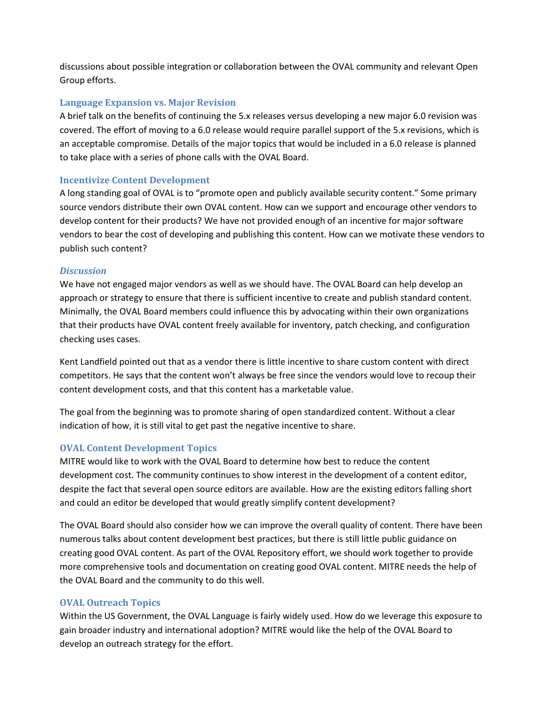discussions about possible integration or collaboration between the OVAL community and relevant Open Group efforts.

## **Language Expansion vs. Major Revision**

A brief talk on the benefits of continuing the 5.x releases versus developing a new major 6.0 revision was covered. The effort of moving to a 6.0 release would require parallel support of the 5.x revisions, which is an acceptable compromise. Details of the major topics that would be included in a 6.0 release is planned to take place with a series of phone calls with the OVAL Board.

#### **Incentivize Content Development**

A long standing goal of OVAL is to "promote open and publicly available security content." Some primary source vendors distribute their own OVAL content. How can we support and encourage other vendors to develop content for their products? We have not provided enough of an incentive for major software vendors to bear the cost of developing and publishing this content. How can we motivate these vendors to publish such content?

#### *Discussion*

We have not engaged major vendors as well as we should have. The OVAL Board can help develop an approach or strategy to ensure that there is sufficient incentive to create and publish standard content. Minimally, the OVAL Board members could influence this by advocating within their own organizations that their products have OVAL content freely available for inventory, patch checking, and configuration checking uses cases.

Kent Landfield pointed out that as a vendor there is little incentive to share custom content with direct competitors. He says that the content won't always be free since the vendors would love to recoup their content development costs, and that this content has a marketable value.

The goal from the beginning was to promote sharing of open standardized content. Without a clear indication of how, it is still vital to get past the negative incentive to share.

# **OVAL Content Development Topics**

MITRE would like to work with the OVAL Board to determine how best to reduce the content development cost. The community continues to show interest in the development of a content editor, despite the fact that several open source editors are available. How are the existing editors falling short and could an editor be developed that would greatly simplify content development?

The OVAL Board should also consider how we can improve the overall quality of content. There have been numerous talks about content development best practices, but there is still little public guidance on creating good OVAL content. As part of the OVAL Repository effort, we should work together to provide more comprehensive tools and documentation on creating good OVAL content. MITRE needs the help of the OVAL Board and the community to do this well.

#### **OVAL Outreach Topics**

Within the US Government, the OVAL Language is fairly widely used. How do we leverage this exposure to gain broader industry and international adoption? MITRE would like the help of the OVAL Board to develop an outreach strategy for the effort.